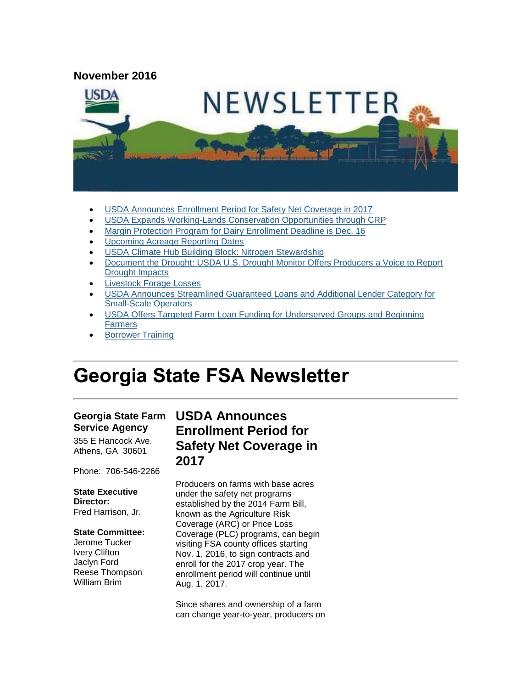

- [USDA Announces Enrollment Period for Safety Net Coverage in 2017](#page-0-0)
- [USDA Expands Working-Lands Conservation Opportunities through CRP](#page-1-0)
- [Margin Protection Program for Dairy Enrollment Deadline is Dec. 16](#page-2-0)
- [Upcoming Acreage Reporting Dates](#page-2-1)
- [USDA Climate Hub Building Block: Nitrogen Stewardship](#page-3-0)
- [Document the Drought: USDA U.S. Drought Monitor Offers Producers a Voice to Report](#page-3-1)  [Drought Impacts](#page-3-1)
- [Livestock Forage Losses](#page-4-0)
- [USDA Announces Streamlined Guaranteed Loans and Additional Lender Category for](#page-4-1)  [Small-Scale Operators](#page-4-1)
- [USDA Offers Targeted Farm Loan Funding for Underserved Groups and Beginning](#page-5-0)  [Farmers](#page-5-0)
- [Borrower Training](#page-6-0)

# **Georgia State FSA Newsletter**

#### **Georgia State Farm Service Agency**

355 E Hancock Ave. Athens, GA 30601

Phone: 706-546-2266

#### **State Executive Director:**

Fred Harrison, Jr.

#### **State Committee:**

Jerome Tucker Ivery Clifton Jaclyn Ford Reese Thompson William Brim

# <span id="page-0-0"></span>**USDA Announces Enrollment Period for Safety Net Coverage in 2017**

Producers on farms with base acres under the safety net programs established by the 2014 Farm Bill, known as the Agriculture Risk Coverage (ARC) or Price Loss Coverage (PLC) programs, can begin visiting FSA county offices starting Nov. 1, 2016, to sign contracts and enroll for the 2017 crop year. The enrollment period will continue until Aug. 1, 2017.

Since shares and ownership of a farm can change year-to-year, producers on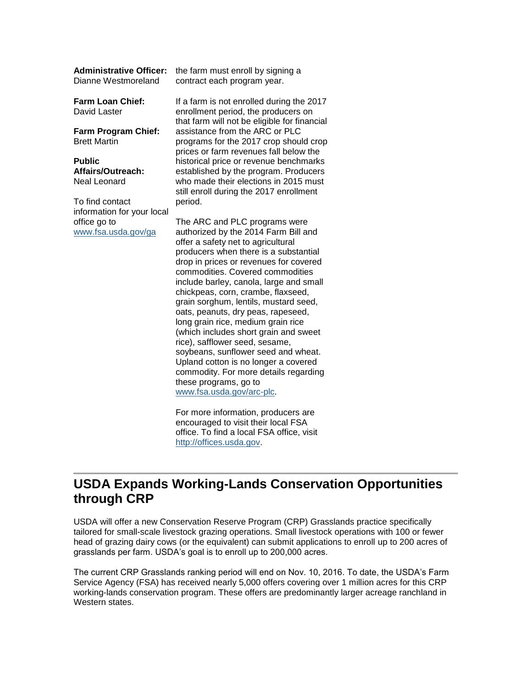| <b>Administrative Officer:</b><br>Dianne Westmoreland | the farm must enroll by signing a<br>contract each program year.                                                                                                                                                                                                                                                                                                                                                                                                                                                                                           |
|-------------------------------------------------------|------------------------------------------------------------------------------------------------------------------------------------------------------------------------------------------------------------------------------------------------------------------------------------------------------------------------------------------------------------------------------------------------------------------------------------------------------------------------------------------------------------------------------------------------------------|
| Farm Loan Chief:<br>David Laster                      | If a farm is not enrolled during the 2017<br>enrollment period, the producers on<br>that farm will not be eligible for financial                                                                                                                                                                                                                                                                                                                                                                                                                           |
| Farm Program Chief:<br><b>Brett Martin</b>            | assistance from the ARC or PLC<br>programs for the 2017 crop should crop<br>prices or farm revenues fall below the                                                                                                                                                                                                                                                                                                                                                                                                                                         |
| Public                                                | historical price or revenue benchmarks                                                                                                                                                                                                                                                                                                                                                                                                                                                                                                                     |
| Affairs/Outreach:                                     | established by the program. Producers                                                                                                                                                                                                                                                                                                                                                                                                                                                                                                                      |
| Neal Leonard                                          | who made their elections in 2015 must<br>still enroll during the 2017 enrollment                                                                                                                                                                                                                                                                                                                                                                                                                                                                           |
| To find contact                                       | period.                                                                                                                                                                                                                                                                                                                                                                                                                                                                                                                                                    |
| information for your local                            |                                                                                                                                                                                                                                                                                                                                                                                                                                                                                                                                                            |
| office go to<br>www.fsa.usda.gov/ga                   | The ARC and PLC programs were<br>authorized by the 2014 Farm Bill and<br>offer a safety net to agricultural<br>producers when there is a substantial<br>drop in prices or revenues for covered<br>commodities. Covered commodities<br>include barley, canola, large and small<br>chickpeas, corn, crambe, flaxseed,<br>grain sorghum, lentils, mustard seed,<br>oats, peanuts, dry peas, rapeseed,<br>long grain rice, medium grain rice<br>(which includes short grain and sweet<br>rice), safflower seed, sesame,<br>soybeans, sunflower seed and wheat. |
|                                                       | Upland cotton is no longer a covered<br>commodity. For more details regarding                                                                                                                                                                                                                                                                                                                                                                                                                                                                              |

For more information, producers are encouraged to visit their local FSA office. To find a local FSA office, visit [http://offices.usda.gov.](http://offices.usda.gov/)

these programs, go to [www.fsa.usda.gov/arc-plc.](http://www.fsa.usda.gov/arc-plc)

#### <span id="page-1-0"></span>**USDA Expands Working-Lands Conservation Opportunities through CRP**

USDA will offer a new Conservation Reserve Program (CRP) Grasslands practice specifically tailored for small-scale livestock grazing operations. Small livestock operations with 100 or fewer head of grazing dairy cows (or the equivalent) can submit applications to enroll up to 200 acres of grasslands per farm. USDA's goal is to enroll up to 200,000 acres.

The current CRP Grasslands ranking period will end on Nov. 10, 2016. To date, the USDA's Farm Service Agency (FSA) has received nearly 5,000 offers covering over 1 million acres for this CRP working-lands conservation program. These offers are predominantly larger acreage ranchland in Western states.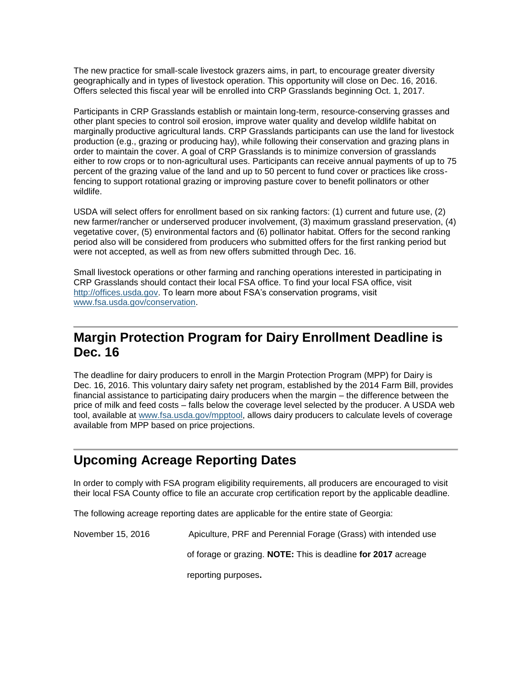The new practice for small-scale livestock grazers aims, in part, to encourage greater diversity geographically and in types of livestock operation. This opportunity will close on Dec. 16, 2016. Offers selected this fiscal year will be enrolled into CRP Grasslands beginning Oct. 1, 2017.

Participants in CRP Grasslands establish or maintain long-term, resource-conserving grasses and other plant species to control soil erosion, improve water quality and develop wildlife habitat on marginally productive agricultural lands. CRP Grasslands participants can use the land for livestock production (e.g., grazing or producing hay), while following their conservation and grazing plans in order to maintain the cover. A goal of CRP Grasslands is to minimize conversion of grasslands either to row crops or to non-agricultural uses. Participants can receive annual payments of up to 75 percent of the grazing value of the land and up to 50 percent to fund cover or practices like crossfencing to support rotational grazing or improving pasture cover to benefit pollinators or other wildlife.

USDA will select offers for enrollment based on six ranking factors: (1) current and future use, (2) new farmer/rancher or underserved producer involvement, (3) maximum grassland preservation, (4) vegetative cover, (5) environmental factors and (6) pollinator habitat. Offers for the second ranking period also will be considered from producers who submitted offers for the first ranking period but were not accepted, as well as from new offers submitted through Dec. 16.

Small livestock operations or other farming and ranching operations interested in participating in CRP Grasslands should contact their local FSA office. To find your local FSA office, visit [http://offices.usda.gov.](http://offices.usda.gov/) To learn more about FSA's conservation programs, visit [www.fsa.usda.gov/conservation.](http://www.fsa.usda.gov/conservation)

#### <span id="page-2-0"></span>**Margin Protection Program for Dairy Enrollment Deadline is Dec. 16**

The deadline for dairy producers to enroll in the Margin Protection Program (MPP) for Dairy is Dec. 16, 2016. This voluntary dairy safety net program, established by the 2014 Farm Bill, provides financial assistance to participating dairy producers when the margin – the difference between the price of milk and feed costs – falls below the coverage level selected by the producer. A USDA web tool, available at [www.fsa.usda.gov/mpptool,](http://www.fsa.usda.gov/mpptool) allows dairy producers to calculate levels of coverage available from MPP based on price projections.

# <span id="page-2-1"></span>**Upcoming Acreage Reporting Dates**

In order to comply with FSA program eligibility requirements, all producers are encouraged to visit their local FSA County office to file an accurate crop certification report by the applicable deadline.

The following acreage reporting dates are applicable for the entire state of Georgia:

November 15, 2016 Apiculture, PRF and Perennial Forage (Grass) with intended use

of forage or grazing. **NOTE:** This is deadline **for 2017** acreage

reporting purposes**.**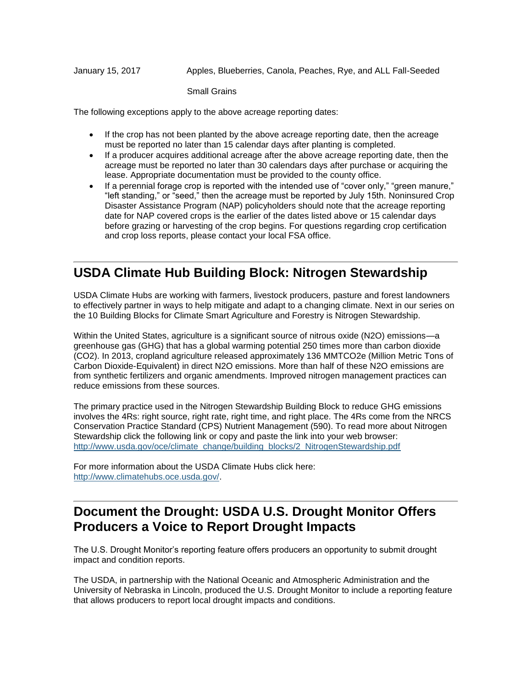January 15, 2017 Apples, Blueberries, Canola, Peaches, Rye, and ALL Fall-Seeded

Small Grains

The following exceptions apply to the above acreage reporting dates:

- If the crop has not been planted by the above acreage reporting date, then the acreage must be reported no later than 15 calendar days after planting is completed.
- If a producer acquires additional acreage after the above acreage reporting date, then the acreage must be reported no later than 30 calendars days after purchase or acquiring the lease. Appropriate documentation must be provided to the county office.
- If a perennial forage crop is reported with the intended use of "cover only," "green manure," "left standing," or "seed," then the acreage must be reported by July 15th. Noninsured Crop Disaster Assistance Program (NAP) policyholders should note that the acreage reporting date for NAP covered crops is the earlier of the dates listed above or 15 calendar days before grazing or harvesting of the crop begins. For questions regarding crop certification and crop loss reports, please contact your local FSA office.

#### <span id="page-3-0"></span>**USDA Climate Hub Building Block: Nitrogen Stewardship**

USDA Climate Hubs are working with farmers, livestock producers, pasture and forest landowners to effectively partner in ways to help mitigate and adapt to a changing climate. Next in our series on the 10 Building Blocks for Climate Smart Agriculture and Forestry is Nitrogen Stewardship.

Within the United States, agriculture is a significant source of nitrous oxide (N2O) emissions—a greenhouse gas (GHG) that has a global warming potential 250 times more than carbon dioxide (CO2). In 2013, cropland agriculture released approximately 136 MMTCO2e (Million Metric Tons of Carbon Dioxide-Equivalent) in direct N2O emissions. More than half of these N2O emissions are from synthetic fertilizers and organic amendments. Improved nitrogen management practices can reduce emissions from these sources.

The primary practice used in the Nitrogen Stewardship Building Block to reduce GHG emissions involves the 4Rs: right source, right rate, right time, and right place. The 4Rs come from the NRCS Conservation Practice Standard (CPS) Nutrient Management (590). To read more about Nitrogen Stewardship click the following link or copy and paste the link into your web browser: [http://www.usda.gov/oce/climate\\_change/building\\_blocks/2\\_NitrogenStewardship.pdf](http://www.usda.gov/oce/climate_change/building_blocks/2_NitrogenStewardship.pdf)

For more information about the USDA Climate Hubs click here: [http://www.climatehubs.oce.usda.gov/.](http://www.climatehubs.oce.usda.gov/)

### <span id="page-3-1"></span>**Document the Drought: USDA U.S. Drought Monitor Offers Producers a Voice to Report Drought Impacts**

The U.S. Drought Monitor's reporting feature offers producers an opportunity to submit drought impact and condition reports.

The USDA, in partnership with the National Oceanic and Atmospheric Administration and the University of Nebraska in Lincoln, produced the U.S. Drought Monitor to include a reporting feature that allows producers to report local drought impacts and conditions.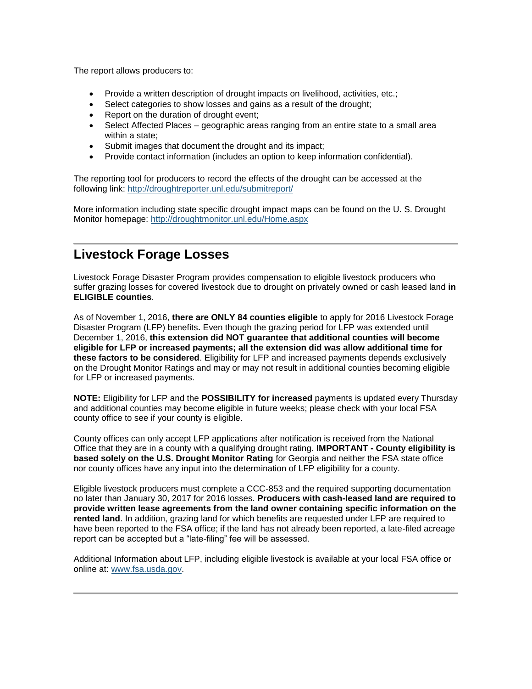The report allows producers to:

- Provide a written description of drought impacts on livelihood, activities, etc.;
- Select categories to show losses and gains as a result of the drought;
- Report on the duration of drought event;
- Select Affected Places geographic areas ranging from an entire state to a small area within a state;
- Submit images that document the drought and its impact;
- Provide contact information (includes an option to keep information confidential).

The reporting tool for producers to record the effects of the drought can be accessed at the following link:<http://droughtreporter.unl.edu/submitreport/>

More information including state specific drought impact maps can be found on the U. S. Drought Monitor homepage:<http://droughtmonitor.unl.edu/Home.aspx>

### <span id="page-4-0"></span>**Livestock Forage Losses**

Livestock Forage Disaster Program provides compensation to eligible livestock producers who suffer grazing losses for covered livestock due to drought on privately owned or cash leased land **in ELIGIBLE counties**.

As of November 1, 2016, **there are ONLY 84 counties eligible** to apply for 2016 Livestock Forage Disaster Program (LFP) benefits**.** Even though the grazing period for LFP was extended until December 1, 2016, **this extension did NOT guarantee that additional counties will become eligible for LFP or increased payments; all the extension did was allow additional time for these factors to be considered**. Eligibility for LFP and increased payments depends exclusively on the Drought Monitor Ratings and may or may not result in additional counties becoming eligible for LFP or increased payments.

**NOTE:** Eligibility for LFP and the **POSSIBILITY for increased** payments is updated every Thursday and additional counties may become eligible in future weeks; please check with your local FSA county office to see if your county is eligible.

County offices can only accept LFP applications after notification is received from the National Office that they are in a county with a qualifying drought rating. **IMPORTANT - County eligibility is based solely on the U.S. Drought Monitor Rating** for Georgia and neither the FSA state office nor county offices have any input into the determination of LFP eligibility for a county.

Eligible livestock producers must complete a CCC-853 and the required supporting documentation no later than January 30, 2017 for 2016 losses. **Producers with cash-leased land are required to provide written lease agreements from the land owner containing specific information on the rented land**. In addition, grazing land for which benefits are requested under LFP are required to have been reported to the FSA office; if the land has not already been reported, a late-filed acreage report can be accepted but a "late-filing" fee will be assessed.

<span id="page-4-1"></span>Additional Information about LFP, including eligible livestock is available at your local FSA office or online at: [www.fsa.usda.gov.](http://www.fsa.usda.gov/)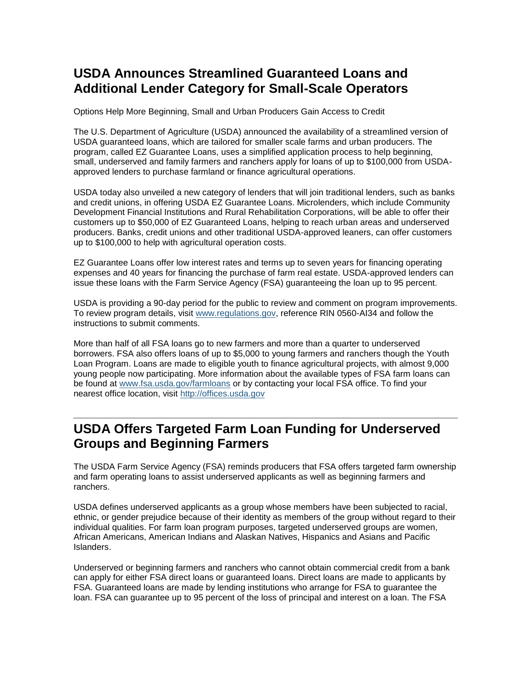# **USDA Announces Streamlined Guaranteed Loans and Additional Lender Category for Small-Scale Operators**

Options Help More Beginning, Small and Urban Producers Gain Access to Credit

The U.S. Department of Agriculture (USDA) announced the availability of a streamlined version of USDA guaranteed loans, which are tailored for smaller scale farms and urban producers. The program, called EZ Guarantee Loans, uses a simplified application process to help beginning, small, underserved and family farmers and ranchers apply for loans of up to \$100,000 from USDAapproved lenders to purchase farmland or finance agricultural operations.

USDA today also unveiled a new category of lenders that will join traditional lenders, such as banks and credit unions, in offering USDA EZ Guarantee Loans. Microlenders, which include Community Development Financial Institutions and Rural Rehabilitation Corporations, will be able to offer their customers up to \$50,000 of EZ Guaranteed Loans, helping to reach urban areas and underserved producers. Banks, credit unions and other traditional USDA-approved leaners, can offer customers up to \$100,000 to help with agricultural operation costs.

EZ Guarantee Loans offer low interest rates and terms up to seven years for financing operating expenses and 40 years for financing the purchase of farm real estate. USDA-approved lenders can issue these loans with the Farm Service Agency (FSA) guaranteeing the loan up to 95 percent.

USDA is providing a 90-day period for the public to review and comment on program improvements. To review program details, visit [www.regulations.gov,](http://www.regulations.gov/) reference RIN 0560-AI34 and follow the instructions to submit comments.

More than half of all FSA loans go to new farmers and more than a quarter to underserved borrowers. FSA also offers loans of up to \$5,000 to young farmers and ranchers though the Youth Loan Program. Loans are made to eligible youth to finance agricultural projects, with almost 9,000 young people now participating. More information about the available types of FSA farm loans can be found at [www.fsa.usda.gov/farmloans](http://www.fsa.usda.gov/programs-and-services/farm-loan-programs/index) or by contacting your local FSA office. To find your nearest office location, visit [http://offices.usda.gov](http://links.govdelivery.com/track?type=click&enid=ZWFzPTEmbWFpbGluZ2lkPTIwMTUwMjEwLjQxNDAyNjYxJm1lc3NhZ2VpZD1NREItUFJELUJVTC0yMDE1MDIxMC40MTQwMjY2MSZkYXRhYmFzZWlkPTEwMDEmc2VyaWFsPTE3MjQxMDk2JmVtYWlsaWQ9ZGFyaW4ubGVhY2hAaWEudXNkYS5nb3YmdXNlcmlkPWRhcmluLmxlYWNoQGlhLnVzZGEuZ292JmZsPSZleHRyYT1NdWx0aXZhcmlhdGVJZD0mJiY=&&&113&&&http://offices.usda.gov/)

### <span id="page-5-0"></span>**USDA Offers Targeted Farm Loan Funding for Underserved Groups and Beginning Farmers**

The USDA Farm Service Agency (FSA) reminds producers that FSA offers targeted farm ownership and farm operating loans to assist underserved applicants as well as beginning farmers and ranchers.

USDA defines underserved applicants as a group whose members have been subjected to racial, ethnic, or gender prejudice because of their identity as members of the group without regard to their individual qualities. For farm loan program purposes, targeted underserved groups are women, African Americans, American Indians and Alaskan Natives, Hispanics and Asians and Pacific Islanders.

Underserved or beginning farmers and ranchers who cannot obtain commercial credit from a bank can apply for either FSA direct loans or guaranteed loans. Direct loans are made to applicants by FSA. Guaranteed loans are made by lending institutions who arrange for FSA to guarantee the loan. FSA can guarantee up to 95 percent of the loss of principal and interest on a loan. The FSA